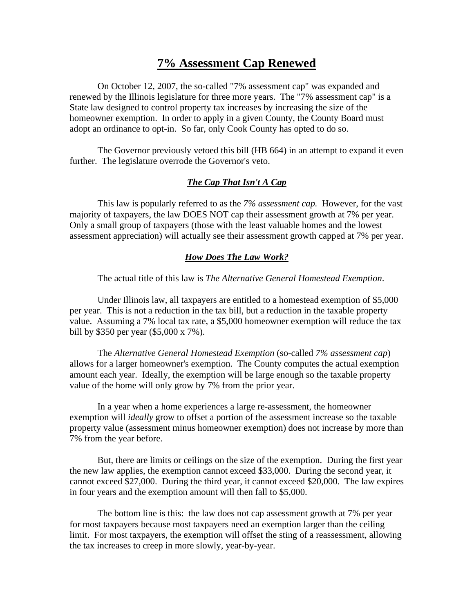# **7% Assessment Cap Renewed**

On October 12, 2007, the so-called "7% assessment cap" was expanded and renewed by the Illinois legislature for three more years. The "7% assessment cap" is a State law designed to control property tax increases by increasing the size of the homeowner exemption. In order to apply in a given County, the County Board must adopt an ordinance to opt-in. So far, only Cook County has opted to do so.

The Governor previously vetoed this bill (HB 664) in an attempt to expand it even further. The legislature overrode the Governor's veto.

### *The Cap That Isn't A Cap*

This law is popularly referred to as the *7% assessment cap.* However, for the vast majority of taxpayers, the law DOES NOT cap their assessment growth at 7% per year. Only a small group of taxpayers (those with the least valuable homes and the lowest assessment appreciation) will actually see their assessment growth capped at 7% per year.

#### *How Does The Law Work?*

The actual title of this law is *The Alternative General Homestead Exemption*.

Under Illinois law, all taxpayers are entitled to a homestead exemption of \$5,000 per year. This is not a reduction in the tax bill, but a reduction in the taxable property value. Assuming a 7% local tax rate, a \$5,000 homeowner exemption will reduce the tax bill by \$350 per year (\$5,000 x 7%).

The *Alternative General Homestead Exemption* (so-called *7% assessment cap*) allows for a larger homeowner's exemption. The County computes the actual exemption amount each year. Ideally, the exemption will be large enough so the taxable property value of the home will only grow by 7% from the prior year.

In a year when a home experiences a large re-assessment, the homeowner exemption will *ideally* grow to offset a portion of the assessment increase so the taxable property value (assessment minus homeowner exemption) does not increase by more than 7% from the year before.

But, there are limits or ceilings on the size of the exemption. During the first year the new law applies, the exemption cannot exceed \$33,000. During the second year, it cannot exceed \$27,000. During the third year, it cannot exceed \$20,000. The law expires in four years and the exemption amount will then fall to \$5,000.

The bottom line is this: the law does not cap assessment growth at 7% per year for most taxpayers because most taxpayers need an exemption larger than the ceiling limit. For most taxpayers, the exemption will offset the sting of a reassessment, allowing the tax increases to creep in more slowly, year-by-year.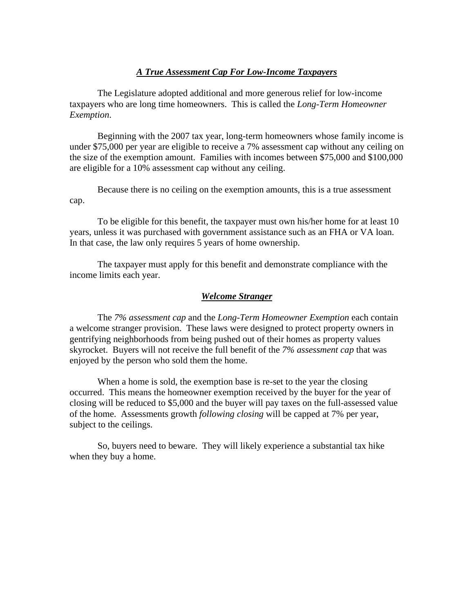### *A True Assessment Cap For Low-Income Taxpayers*

The Legislature adopted additional and more generous relief for low-income taxpayers who are long time homeowners. This is called the *Long-Term Homeowner Exemption*.

Beginning with the 2007 tax year, long-term homeowners whose family income is under \$75,000 per year are eligible to receive a 7% assessment cap without any ceiling on the size of the exemption amount. Families with incomes between \$75,000 and \$100,000 are eligible for a 10% assessment cap without any ceiling.

Because there is no ceiling on the exemption amounts, this is a true assessment cap.

To be eligible for this benefit, the taxpayer must own his/her home for at least 10 years, unless it was purchased with government assistance such as an FHA or VA loan. In that case, the law only requires 5 years of home ownership.

The taxpayer must apply for this benefit and demonstrate compliance with the income limits each year.

#### *Welcome Stranger*

The *7% assessment cap* and the *Long-Term Homeowner Exemption* each contain a welcome stranger provision. These laws were designed to protect property owners in gentrifying neighborhoods from being pushed out of their homes as property values skyrocket. Buyers will not receive the full benefit of the *7% assessment cap* that was enjoyed by the person who sold them the home.

When a home is sold, the exemption base is re-set to the year the closing occurred. This means the homeowner exemption received by the buyer for the year of closing will be reduced to \$5,000 and the buyer will pay taxes on the full-assessed value of the home. Assessments growth *following closing* will be capped at 7% per year, subject to the ceilings.

So, buyers need to beware. They will likely experience a substantial tax hike when they buy a home.